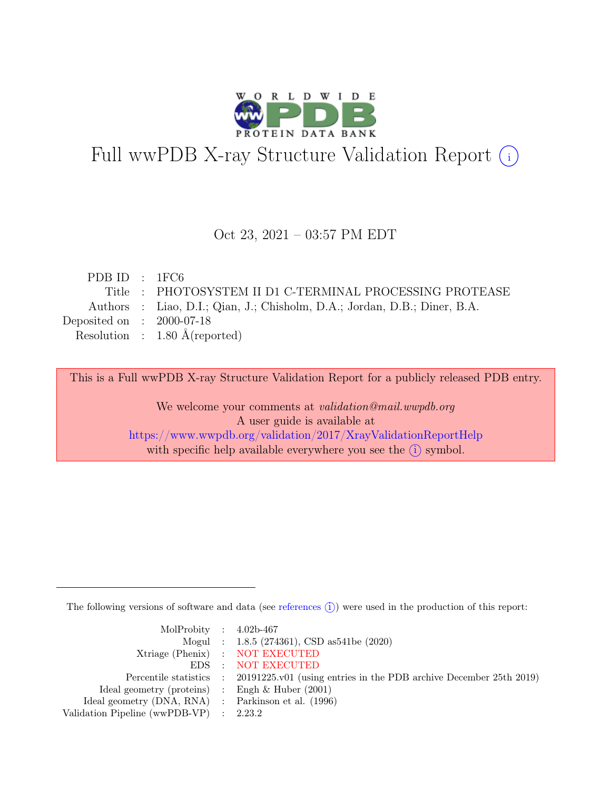

# Full wwPDB X-ray Structure Validation Report  $(i)$

#### Oct 23, 2021 – 03:57 PM EDT

| PDBID : IFC6                |                                                                           |
|-----------------------------|---------------------------------------------------------------------------|
|                             | Title : PHOTOSYSTEM II D1 C-TERMINAL PROCESSING PROTEASE                  |
|                             | Authors : Liao, D.I.; Qian, J.; Chisholm, D.A.; Jordan, D.B.; Diner, B.A. |
| Deposited on : $2000-07-18$ |                                                                           |
|                             | Resolution : $1.80 \text{ Å}$ (reported)                                  |
|                             |                                                                           |

This is a Full wwPDB X-ray Structure Validation Report for a publicly released PDB entry.

We welcome your comments at validation@mail.wwpdb.org A user guide is available at <https://www.wwpdb.org/validation/2017/XrayValidationReportHelp> with specific help available everywhere you see the  $(i)$  symbol.

The following versions of software and data (see [references](https://www.wwpdb.org/validation/2017/XrayValidationReportHelp#references)  $\hat{I}$ ) were used in the production of this report:

| MolProbity : $4.02b-467$                            |                                                                                            |
|-----------------------------------------------------|--------------------------------------------------------------------------------------------|
|                                                     | Mogul : $1.8.5$ (274361), CSD as 541be (2020)                                              |
|                                                     | Xtriage (Phenix) : NOT EXECUTED                                                            |
|                                                     | EDS : NOT EXECUTED                                                                         |
|                                                     | Percentile statistics : 20191225.v01 (using entries in the PDB archive December 25th 2019) |
| Ideal geometry (proteins) : Engh $\&$ Huber (2001)  |                                                                                            |
| Ideal geometry (DNA, RNA) : Parkinson et al. (1996) |                                                                                            |
| Validation Pipeline (wwPDB-VP) : 2.23.2             |                                                                                            |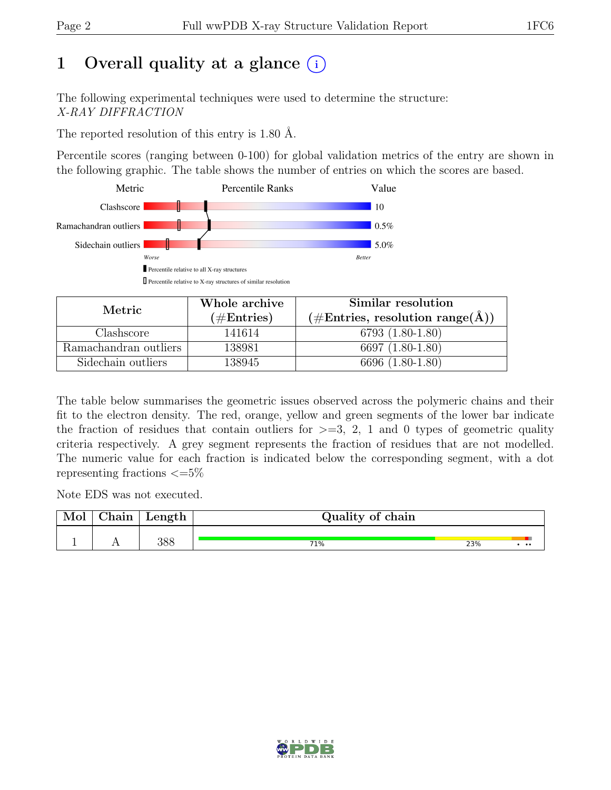# 1 Overall quality at a glance  $(i)$

The following experimental techniques were used to determine the structure: X-RAY DIFFRACTION

The reported resolution of this entry is 1.80 Å.

Percentile scores (ranging between 0-100) for global validation metrics of the entry are shown in the following graphic. The table shows the number of entries on which the scores are based.



| Metric                | Whole archive | Similar resolution                                           |
|-----------------------|---------------|--------------------------------------------------------------|
|                       | $(\#Entries)$ | $(\# \text{Entries}, \text{ resolution range}(\text{\AA})\)$ |
| Clashscore            | 141614        | $6793(1.80-1.80)$                                            |
| Ramachandran outliers | 138981        | 6697 (1.80-1.80)                                             |
| Sidechain outliers    | 138945        | 6696 (1.80-1.80)                                             |

The table below summarises the geometric issues observed across the polymeric chains and their fit to the electron density. The red, orange, yellow and green segments of the lower bar indicate the fraction of residues that contain outliers for  $\geq$ =3, 2, 1 and 0 types of geometric quality criteria respectively. A grey segment represents the fraction of residues that are not modelled. The numeric value for each fraction is indicated below the corresponding segment, with a dot representing fractions  $\epsilon = 5\%$ 

Note EDS was not executed.

| Mol | ${\rm Chain}$ | Length | Quality of chain |     |                  |  |  |  |  |
|-----|---------------|--------|------------------|-----|------------------|--|--|--|--|
|     |               | 388    | 71%              | 23% | $\bullet\bullet$ |  |  |  |  |

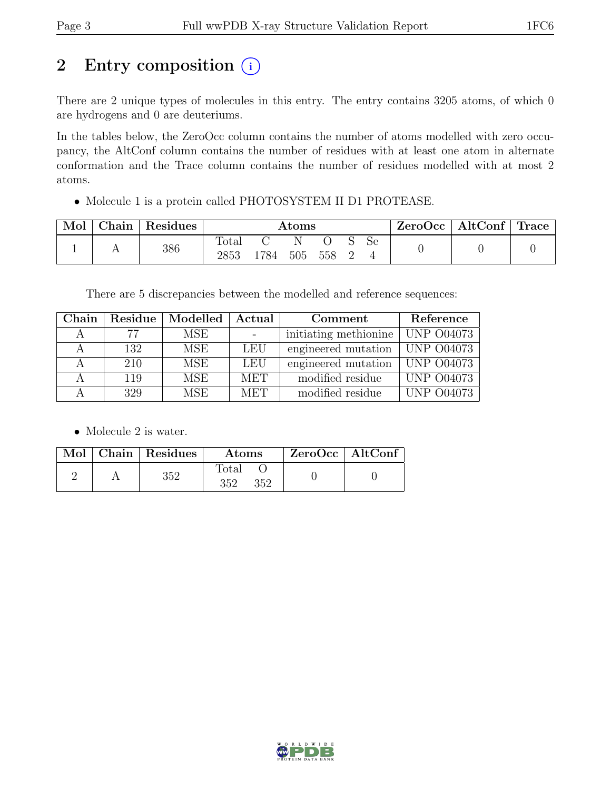# 2 Entry composition  $(i)$

There are 2 unique types of molecules in this entry. The entry contains 3205 atoms, of which 0 are hydrogens and 0 are deuteriums.

In the tables below, the ZeroOcc column contains the number of atoms modelled with zero occupancy, the AltConf column contains the number of residues with at least one atom in alternate conformation and the Trace column contains the number of residues modelled with at most 2 atoms.

• Molecule 1 is a protein called PHOTOSYSTEM II D1 PROTEASE.

| Mol | $\hbox{Chain}^+$ | Residues | $\rm{Atoms}$  |      |     |     |  | $ZeroOcc \   \$ AltConf | $^{\circ}$ Trace |  |
|-----|------------------|----------|---------------|------|-----|-----|--|-------------------------|------------------|--|
|     | . .              | 386      | Total<br>2853 | 1784 | 505 | 558 |  | Se.                     |                  |  |

There are 5 discrepancies between the modelled and reference sequences:

| Chain | Residue | Modelled   | $\operatorname{Actual}$ | Comment               | Reference         |
|-------|---------|------------|-------------------------|-----------------------|-------------------|
|       | 77      | <b>MSE</b> |                         | initiating methionine | <b>UNP 004073</b> |
|       | 132     | <b>MSE</b> | LEU                     | engineered mutation   | <b>UNP 004073</b> |
|       | 210     | MSE        | <b>LEU</b>              | engineered mutation   | <b>UNP 004073</b> |
|       | 119     | <b>MSE</b> | <b>MET</b>              | modified residue      | <b>UNP 004073</b> |
|       | 329     | MSE        | <b>MET</b>              | modified residue      | <b>UNP 004073</b> |

• Molecule 2 is water.

|  | Mol   Chain   Residues | <b>Atoms</b>                 | $ZeroOcc \   \ AltConf$ |  |
|--|------------------------|------------------------------|-------------------------|--|
|  | 352                    | $_{\rm Total}$<br>352<br>352 |                         |  |

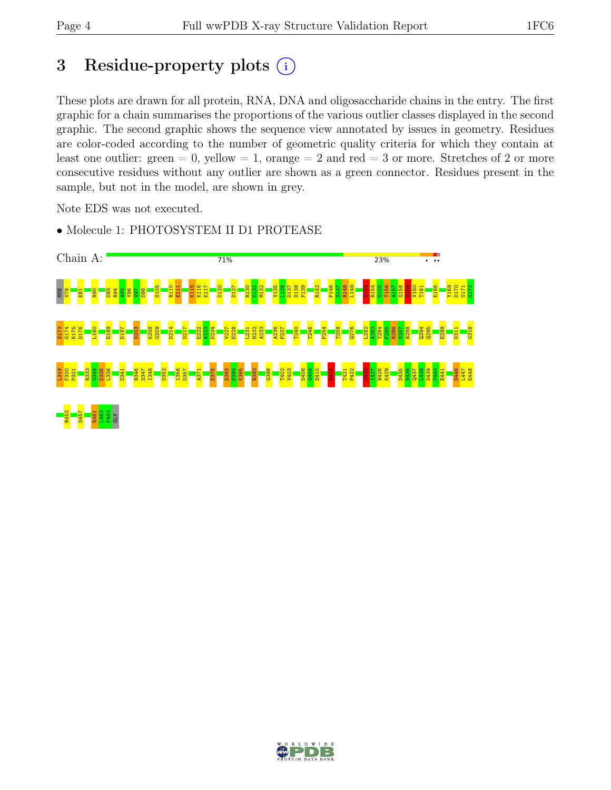# 3 Residue-property plots  $(i)$

These plots are drawn for all protein, RNA, DNA and oligosaccharide chains in the entry. The first graphic for a chain summarises the proportions of the various outlier classes displayed in the second graphic. The second graphic shows the sequence view annotated by issues in geometry. Residues are color-coded according to the number of geometric quality criteria for which they contain at least one outlier: green  $= 0$ , yellow  $= 1$ , orange  $= 2$  and red  $= 3$  or more. Stretches of 2 or more consecutive residues without any outlier are shown as a green connector. Residues present in the sample, but not in the model, are shown in grey.

Note EDS was not executed.



• Molecule 1: PHOTOSYSTEM II D1 PROTEASE

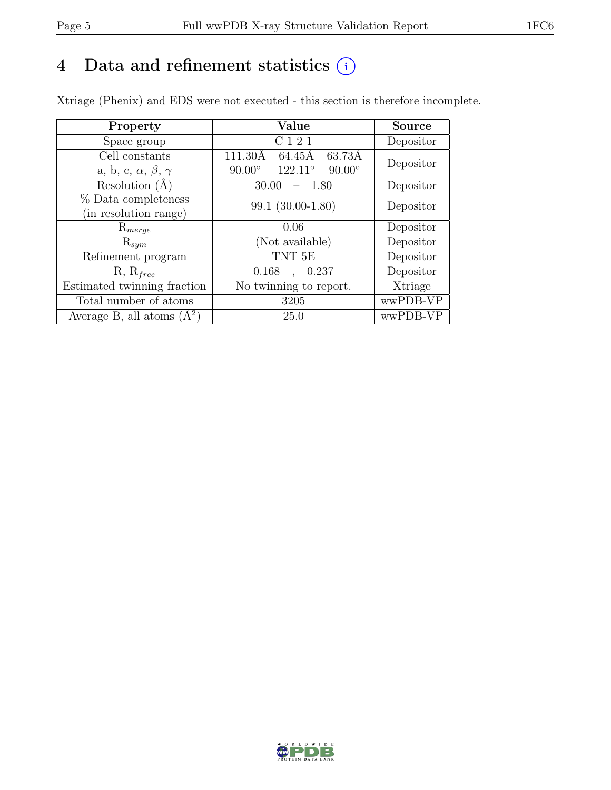## 4 Data and refinement statistics  $(i)$

Xtriage (Phenix) and EDS were not executed - this section is therefore incomplete.

| Property                               | Value                                              | <b>Source</b> |  |
|----------------------------------------|----------------------------------------------------|---------------|--|
| Space group                            | C <sub>1</sub> 2 <sub>1</sub>                      | Depositor     |  |
| Cell constants                         | 63.73Å<br>64.45Å<br>111.30Å                        | Depositor     |  |
| a, b, c, $\alpha$ , $\beta$ , $\gamma$ | $122.11^{\circ}$<br>$90.00^\circ$<br>$90.00^\circ$ |               |  |
| Resolution $(A)$                       | 30.00<br>1.80                                      | Depositor     |  |
| % Data completeness                    | 99.1 (30.00-1.80)                                  | Depositor     |  |
| (in resolution range)                  |                                                    |               |  |
| $\mathrm{R}_{merge}$                   | 0.06                                               | Depositor     |  |
| $\mathrm{R}_{sym}$                     | (Not available)                                    | Depositor     |  |
| Refinement program                     | TNT <sub>5E</sub>                                  | Depositor     |  |
| $R, R_{free}$                          | 0.168<br>0.237                                     | Depositor     |  |
| Estimated twinning fraction            | No twinning to report.                             | Xtriage       |  |
| Total number of atoms                  | 3205                                               | wwPDB-VP      |  |
| Average B, all atoms $(A^2)$           | 25.0                                               | wwPDB-VP      |  |

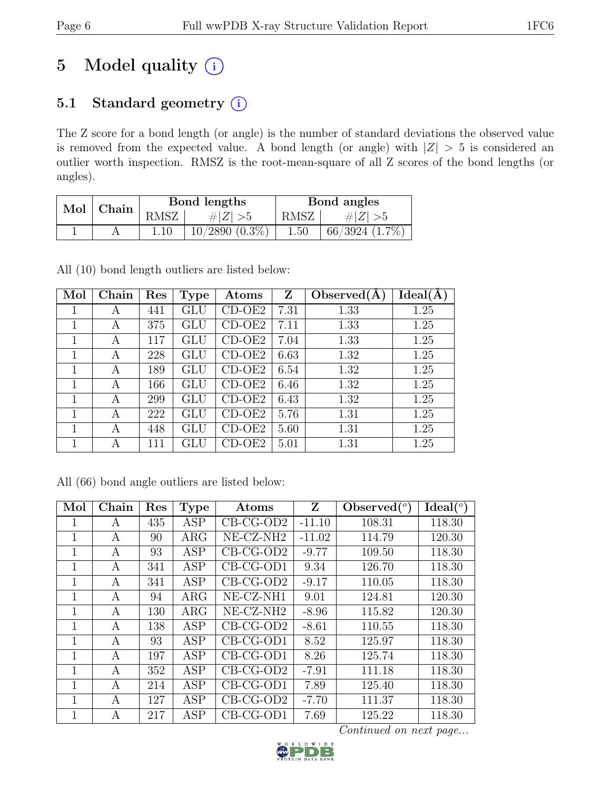# 5 Model quality  $(i)$

### 5.1 Standard geometry (i)

The Z score for a bond length (or angle) is the number of standard deviations the observed value is removed from the expected value. A bond length (or angle) with  $|Z| > 5$  is considered an outlier worth inspection. RMSZ is the root-mean-square of all Z scores of the bond lengths (or angles).

| Mol | Chain |      | Bond lengths        | Bond angles |                     |  |
|-----|-------|------|---------------------|-------------|---------------------|--|
|     |       | RMSZ | H Z                 | <b>RMSZ</b> | # Z                 |  |
|     |       |      | $10/2890$ $(0.3\%)$ | $1.50\,$    | $66/3924$ $(1.7\%)$ |  |

All (10) bond length outliers are listed below:

| Mol | Chain | Res | <b>Type</b>          | Atoms    | $\mathbf{Z}$ | Observed(A) | Ideal(A) |
|-----|-------|-----|----------------------|----------|--------------|-------------|----------|
|     | A     | 441 | $\operatorname{GLU}$ | $CD-OE2$ | 7.31         | 1.33        | 1.25     |
| 1   | A     | 375 | GLU                  | $CD-OE2$ | 7.11         | 1.33        | 1.25     |
| 1   | A     | 117 | GLU                  | $CD-OE2$ | 7.04         | 1.33        | 1.25     |
| 1   | A     | 228 | GLU                  | CD-OE2   | 6.63         | 1.32        | 1.25     |
| 1   | A     | 189 | GLU                  | $CD-OE2$ | 6.54         | 1.32        | 1.25     |
|     | A     | 166 | GLU                  | CD-OE2   | 6.46         | 1.32        | 1.25     |
| 1   | A     | 299 | GLU                  | $CD-OE2$ | 6.43         | 1.32        | 1.25     |
|     | A     | 222 | GLU                  | $CD-OE2$ | 5.76         | 1.31        | 1.25     |
| 1   | A     | 448 | GLU                  | CD-OE2   | 5.60         | 1.31        | 1.25     |
| 1   | A     | 111 | GLU                  | CD-OE2   | 5.01         | 1.31        | 1.25     |

All (66) bond angle outliers are listed below:

| Mol            | Chain        | Res | <b>Type</b> | Atoms                   | Z        | Observed $(°)$ | $Ideal(^o)$ |
|----------------|--------------|-----|-------------|-------------------------|----------|----------------|-------------|
| 1              | A            | 435 | <b>ASP</b>  | $CB-CG-OD2$             | $-11.10$ | 108.31         | 118.30      |
| 1              | A            | 90  | $\rm{ARG}$  | NE-CZ-NH <sub>2</sub>   | $-11.02$ | 114.79         | 120.30      |
| 1              | А            | 93  | ASP         | $CB-CG-OD2$             | $-9.77$  | 109.50         | 118.30      |
| 1              | $\mathbf{A}$ | 341 | <b>ASP</b>  | $CB-CG-OD1$             | 9.34     | 126.70         | 118.30      |
| $\overline{1}$ | $\mathbf{A}$ | 341 | <b>ASP</b>  | $CB-CG-OD2$             | $-9.17$  | 110.05         | 118.30      |
| $\mathbf{1}$   | А            | 94  | $\rm{ARG}$  | NE-CZ-NH1               | 9.01     | 124.81         | 120.30      |
| $\mathbf{1}$   | А            | 130 | $\rm{ARG}$  | NE-CZ-NH <sub>2</sub>   | $-8.96$  | 115.82         | 120.30      |
| $\mathbf{1}$   | А            | 138 | <b>ASP</b>  | $CB-CG-OD2$             | $-8.61$  | 110.55         | 118.30      |
| 1              | А            | 93  | ASP         | $CB-CG-OD1$             | 8.52     | 125.97         | 118.30      |
| 1              | А            | 197 | ASP         | $CB-CG-OD1$             | 8.26     | 125.74         | 118.30      |
| $\mathbf 1$    | A            | 352 | <b>ASP</b>  | $\overline{C}$ B-CG-OD2 | $-7.91$  | 111.18         | 118.30      |
| 1              | A            | 214 | ASP         | $CB-CG-OD1$             | 7.89     | 125.40         | 118.30      |
| $\mathbf 1$    | A            | 127 | <b>ASP</b>  | $CB-CG-OD2$             | $-7.70$  | 111.37         | 118.30      |
| 1              | А            | 217 | ASP         | $CB-CG-OD1$             | 7.69     | 125.22         | 118.30      |

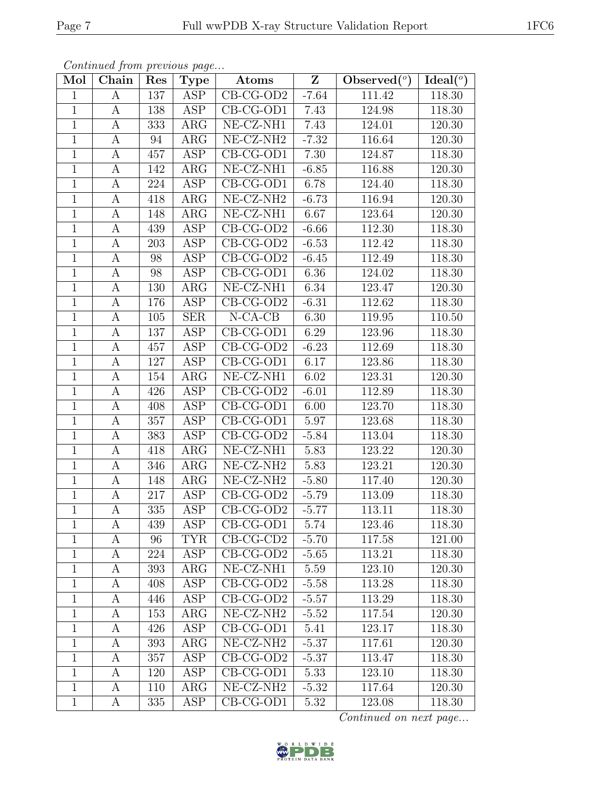| Mol            | Chain            | Res | Type                    | Atoms                                      | $\mathbf{Z}$ | Observed $\left(\overline{\phantom{a}}\right)$ | Ideal $\overline{(\,^o)}$ |
|----------------|------------------|-----|-------------------------|--------------------------------------------|--------------|------------------------------------------------|---------------------------|
| $\mathbf 1$    | A                | 137 | ASP                     | $CB-CG-OD2$                                | $-7.64$      | 111.42                                         | 118.30                    |
| $\mathbf{1}$   | A                | 138 | <b>ASP</b>              | $CB-CG-OD1$                                | 7.43         | 124.98                                         | 118.30                    |
| $\mathbf{1}$   | A                | 333 | ARG                     | NE-CZ-NH1                                  | 7.43         | 124.01                                         | 120.30                    |
| $\mathbf{1}$   | A                | 94  | ARG                     | NE-CZ-NH2                                  | $-7.32$      | 116.64                                         | 120.30                    |
| $\mathbf{1}$   | A                | 457 | ASP                     | $CB-CG-OD1$                                | 7.30         | 124.87                                         | 118.30                    |
| $\mathbf 1$    | A                | 142 | ARG                     | $NE- CZ-NH1$                               | $-6.85$      | 116.88                                         | 120.30                    |
| $\mathbf 1$    | A                | 224 | ASP                     | $CB-CG-OD1$                                | 6.78         | 124.40                                         | 118.30                    |
| $\mathbf{1}$   | A                | 418 | ARG                     | NE-CZ-NH <sub>2</sub>                      | $-6.73$      | 116.94                                         | 120.30                    |
| $\mathbf{1}$   | $\boldsymbol{A}$ | 148 | ARG                     | NE-CZ-NH1                                  | 6.67         | 123.64                                         | 120.30                    |
| $\overline{1}$ | А                | 439 | ASP                     | $\overline{\text{CB-CG-OD2}}$              | $-6.66$      | 112.30                                         | 118.30                    |
| $\mathbf 1$    | $\boldsymbol{A}$ | 203 | <b>ASP</b>              | $CB-CG-OD2$                                | $-6.53$      | 112.42                                         | 118.30                    |
| $\mathbf{1}$   | A                | 98  | ASP                     | $CB-CG-OD2$                                | $-6.45$      | 112.49                                         | 118.30                    |
| $\mathbf{1}$   | $\boldsymbol{A}$ | 98  | ASP                     | $CB-CG-OD1$                                | 6.36         | 124.02                                         | 118.30                    |
| $\mathbf{1}$   | $\boldsymbol{A}$ | 130 | $\rm{ARG}$              | $\overline{\text{NE}}$ -CZ-NH1             | 6.34         | 123.47                                         | 120.30                    |
| $\overline{1}$ | $\boldsymbol{A}$ | 176 | <b>ASP</b>              | $CB-CG-OD2$                                | $-6.31$      | 112.62                                         | 118.30                    |
| $\mathbf 1$    | A                | 105 | <b>SER</b>              | $N$ -CA-CB                                 | 6.30         | 119.95                                         | 110.50                    |
| $\mathbf{1}$   | A                | 137 | ASP                     | $CB-CG-OD1$                                | 6.29         | 123.96                                         | 118.30                    |
| $\mathbf 1$    | $\boldsymbol{A}$ | 457 | ASP                     | $CB-CG-OD2$                                | $-6.23$      | 112.69                                         | 118.30                    |
| $\mathbf{1}$   | A                | 127 | ASP                     | $CB-CG-OD1$                                | 6.17         | 123.86                                         | 118.30                    |
| $\mathbf{1}$   | $\boldsymbol{A}$ | 154 | $\rm{ARG}$              | NE-CZ-NH1                                  | 6.02         | 123.31                                         | 120.30                    |
| $\mathbf{1}$   | $\boldsymbol{A}$ | 426 | ASP                     | $CB-CG-OD2$                                | $-6.01$      | 112.89                                         | 118.30                    |
| $\mathbf{1}$   | A                | 408 | ASP                     | $CB-CG-OD1$                                | 6.00         | 123.70                                         | 118.30                    |
| $\mathbf{1}$   | A                | 357 | ASP                     | $\overline{\text{CB-CG-OD1}}$              | 5.97         | 123.68                                         | 118.30                    |
| $\mathbf{1}$   | A                | 383 | ASP                     | $CB-CG-OD2$                                | $-5.84$      | 113.04                                         | 118.30                    |
| $\mathbf{1}$   | A                | 418 | ARG                     | NE-CZ-NH1                                  | 5.83         | 123.22                                         | 120.30                    |
| $\mathbf{1}$   | A                | 346 | ARG                     | $\overline{\text{NE}}$ -CZ-NH <sub>2</sub> | 5.83         | 123.21                                         | 120.30                    |
| $\mathbf{1}$   | A                | 148 | ARG                     | $NE- CZ-NH2$                               | $-5.80$      | 117.40                                         | 120.30                    |
| $\mathbf{1}$   | $\boldsymbol{A}$ | 217 | ASP                     | $CB-CG-OD2$                                | $-5.79$      | 113.09                                         | 118.30                    |
| $\overline{1}$ | A                | 335 | ASP                     | $CB-CG-OD2$                                | $-5.77$      | 113.11                                         | 118.30                    |
| $\mathbf 1$    | A                | 439 | ASP                     | $CB-CG-OD1$                                | 5.74         | 123.46                                         | 118.30                    |
| $\mathbf 1$    | A                | 96  | <b>TYR</b>              | $CB-CG-CD2$                                | $-5.70$      | 117.58                                         | 121.00                    |
| $\mathbf{1}$   | A                | 224 | ASP                     | $CB-CG-OD2$                                | $-5.65$      | 113.21                                         | 118.30                    |
| $\mathbf{1}$   | A                | 393 | $\rm{ARG}$              | NE-CZ-NH1                                  | 5.59         | 123.10                                         | 120.30                    |
| $\mathbf{1}$   | А                | 408 | $\overline{\text{ASP}}$ | $CB-CG-OD2$                                | $-5.58$      | 113.28                                         | 118.30                    |
| $\mathbf 1$    | A                | 446 | ASP                     | $CB-CG-OD2$                                | $-5.57$      | 113.29                                         | 118.30                    |
| $\mathbf{1}$   | A                | 153 | $\rm{ARG}$              | NE-CZ-NH <sub>2</sub>                      | $-5.52$      | 117.54                                         | 120.30                    |
| $\mathbf 1$    | A                | 426 | ASP                     | $CB-CG-OD1$                                | 5.41         | 123.17                                         | 118.30                    |
| $\mathbf{1}$   | А                | 393 | $\rm{ARG}$              | NE-CZ-NH <sub>2</sub>                      | $-5.37$      | 117.61                                         | 120.30                    |
| $\mathbf{1}$   | A                | 357 | ASP                     | $CB-CG-OD2$                                | $-5.37$      | 113.47                                         | 118.30                    |
| $\mathbf 1$    | A                | 120 | ASP                     | $CB-CG-OD1$                                | 5.33         | 123.10                                         | 118.30                    |
| $\mathbf{1}$   | A                | 110 | $\rm{ARG}$              | NE-CZ-NH <sub>2</sub>                      | $-5.32$      | 117.64                                         | 120.30                    |
| $\mathbf{1}$   | A                | 335 | ASP                     | $CB-CG-OD1$                                | 5.32         | 123.08                                         | 118.30                    |

Continued from previous page...

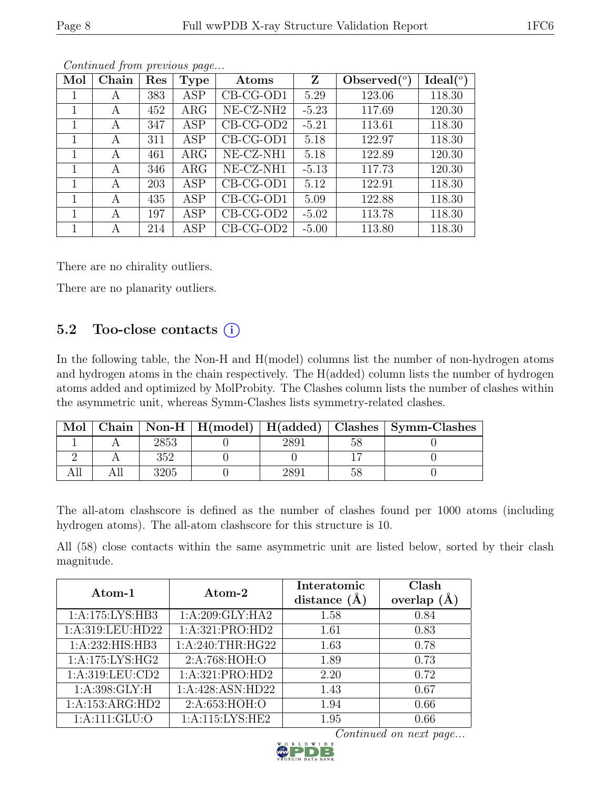| Mol | Chain | Res | <b>Type</b> | Atoms                 | Z       | Observed $(°)$ | $Ideal(^o)$ |
|-----|-------|-----|-------------|-----------------------|---------|----------------|-------------|
|     | A     | 383 | <b>ASP</b>  | CB-CG-OD1             | 5.29    | 123.06         | 118.30      |
| 1   | A     | 452 | $\rm{ARG}$  | NE-CZ-NH <sub>2</sub> | $-5.23$ | 117.69         | 120.30      |
|     | A     | 347 | <b>ASP</b>  | $CB-CG-OD2$           | $-5.21$ | 113.61         | 118.30      |
|     | А     | 311 | ASP         | CB-CG-OD1             | 5.18    | 122.97         | 118.30      |
| 1   | A     | 461 | $\rm{ARG}$  | NE-CZ-NH1             | 5.18    | 122.89         | 120.30      |
|     | A     | 346 | $\rm{ARG}$  | NE-CZ-NH1             | $-5.13$ | 117.73         | 120.30      |
|     | А     | 203 | ASP         | CB-CG-OD1             | 5.12    | 122.91         | 118.30      |
| 1   | A     | 435 | ASP         | CB-CG-OD1             | 5.09    | 122.88         | 118.30      |
|     | А     | 197 | <b>ASP</b>  | $CB-CG-OD2$           | $-5.02$ | 113.78         | 118.30      |
|     | А     | 214 | ASP         | $CB-CG-OD2$           | $-5.00$ | 113.80         | 118.30      |

Continued from previous page...

There are no chirality outliers.

There are no planarity outliers.

### 5.2 Too-close contacts  $(i)$

In the following table, the Non-H and H(model) columns list the number of non-hydrogen atoms and hydrogen atoms in the chain respectively. The H(added) column lists the number of hydrogen atoms added and optimized by MolProbity. The Clashes column lists the number of clashes within the asymmetric unit, whereas Symm-Clashes lists symmetry-related clashes.

| Mol |     |  | Chain   Non-H   $H$ (model)   $H$ (added)   Clashes   Symm-Clashes |
|-----|-----|--|--------------------------------------------------------------------|
|     |     |  |                                                                    |
|     | 352 |  |                                                                    |
|     | 205 |  |                                                                    |

The all-atom clashscore is defined as the number of clashes found per 1000 atoms (including hydrogen atoms). The all-atom clashscore for this structure is 10.

All (58) close contacts within the same asymmetric unit are listed below, sorted by their clash magnitude.

|                              | Atom-2            | Interatomic    | Clash   |
|------------------------------|-------------------|----------------|---------|
| Atom-1                       |                   | distance $(A)$ | overlap |
| 1: A: 175: LYS: HB3          | 1: A:209: GLY:HA2 | 1.58           | 0.84    |
| 1:A:319:LEU:HD22             | 1:A:321:PRO:HD2   | 1.61           | 0.83    |
| 1:A:232:HIS:HB3              | 1: A:240:THR:HG22 | 1.63           | 0.78    |
| $1:A:\overline{175:LYS:HG2}$ | 2:A:768:HOH:O     | 1.89           | 0.73    |
| 1: A:319: LEU: CD2           | 1:A:321:PRO:HD2   | 2.20           | 0.72    |
| $1: A:398: \overline{GLY:H}$ | 1:A:428:ASN:HD22  | 1.43           | 0.67    |
| 1:A:153:ARG:HD2              | 2:A:653:HOH:O     | 1.94           | 0.66    |
| 1: A: 111: GLU: O            | 1:A:115:LYS:HE2   | 1.95           | 0.66    |

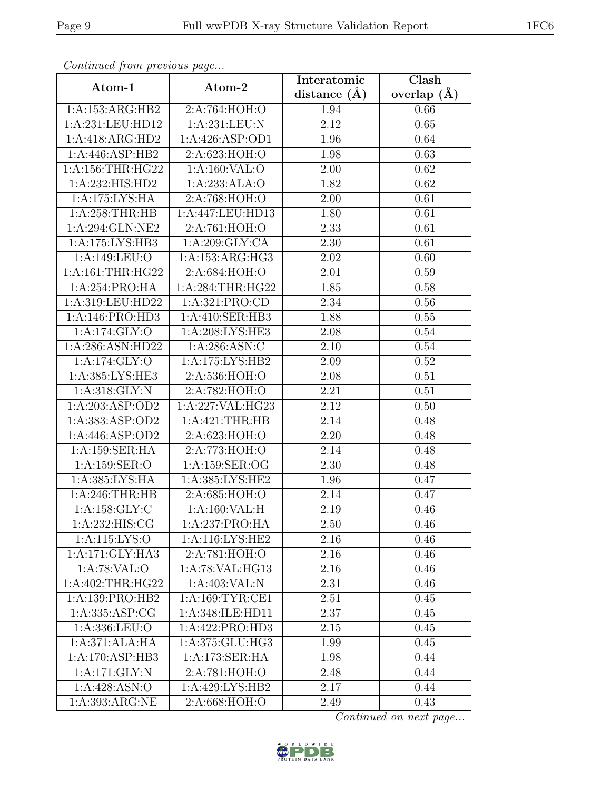| Continua from previous page   |                     | Interatomic      | $\overline{\text{Clash}}$ |
|-------------------------------|---------------------|------------------|---------------------------|
| Atom-1                        | Atom-2              | distance $(\AA)$ | overlap $(\AA)$           |
| 1:A:153:ARG:HB2               | 2:A:764:HOH:O       | 1.94             | 0.66                      |
| $1:A:231:L\overline{EU:HD12}$ | 1:A:231:LEU:N       | 2.12             | 0.65                      |
| 1:A:418:ARG:HD2               | 1:A:426:ASP:OD1     | 1.96             | 0.64                      |
| 1:A:446:ASP:HB2               | 2:A:623:HOH:O       | 1.98             | 0.63                      |
| 1: A: 156: THR: HG22          | 1: A:160: VAL:O     | 2.00             | 0.62                      |
| 1:A:232:HIS:HD2               | 1:A:233:ALA:O       | 1.82             | 0.62                      |
| 1:A:175:LYS:HA                | 2:A:768:HOH:O       | 2.00             | 0.61                      |
| 1: A:258:THR:HB               | 1:A:447:LEU:HD13    | 1.80             | 0.61                      |
| 1:A:294:GLN:NE2               | 2:A:761:HOH:O       | 2.33             | 0.61                      |
| 1:A:175:LYS:HB3               | 1:A:209:GLY:CA      | 2.30             | 0.61                      |
| 1:A:149:LEU:O                 | 1:A:153:ARG:HG3     | 2.02             | 0.60                      |
| 1:A:161:THR:HG22              | 2:A:684:HOH:O       | 2.01             | 0.59                      |
| 1:A:254:PRO:HA                | 1: A:284:THR:HG22   | 1.85             | 0.58                      |
| 1:A:319:LEU:HD22              | 1:A:321:PRO:CD      | 2.34             | 0.56                      |
| 1:A:146:PRO:HD3               | 1:A:410:SER:HB3     | 1.88             | 0.55                      |
| 1:A:174:GLY:O                 | 1:A:208:LYS:HE3     | 2.08             | 0.54                      |
| 1:A:286:ASN:HD22              | 1: A:286: ASN: C    | 2.10             | 0.54                      |
| 1:A:174:GLY:O                 | 1:A:175:LYS:HB2     | 2.09             | 0.52                      |
| 1:A:385:LYS:HE3               | 2:A:536:HOH:O       | 2.08             | 0.51                      |
| 1: A:318: GLY:N               | 2:A:782:HOH:O       | 2.21             | 0.51                      |
| 1:A:203:ASP:OD2               | 1:A:227:VAL:HG23    | 2.12             | 0.50                      |
| 1:A:383:ASP:OD2               | 1: A:421:THR:HB     | 2.14             | 0.48                      |
| 1:A:446:ASP:OD2               | 2:A:623:HOH:O       | 2.20             | 0.48                      |
| 1:A:159:SER:HA                | 2:A:773:HOH:O       | 2.14             | 0.48                      |
| 1:A:159:SER:O                 | 1:A:159:SER:OG      | 2.30             | 0.48                      |
| 1:A:385:LYS:HA                | 1: A: 385: LYS: HE2 | 1.96             | 0.47                      |
| 1:A:246:THR:HB                | 2:A:685:HOH:O       | 2.14             | 0.47                      |
| 1: A: 158: GLY: C             | 1: A:160: VAL:H     | 2.19             | 0.46                      |
| 1:A:232:HIS:CG                | 1:A:237:PRO:HA      | 2.50             | 0.46                      |
| 1:A:115:LYS:O                 | 1:A:116:LYS:HE2     | 2.16             | 0.46                      |
| 1:A:171:GLY:HA3               | 2:A:781:HOH:O       | 2.16             | 0.46                      |
| 1:A:78:VAL:O                  | 1:A:78:VAL:HG13     | 2.16             | 0.46                      |
| 1:A:402:THR:HG22              | 1:A:403:VAL:N       | 2.31             | 0.46                      |
| 1:A:139:PRO:HB2               | 1:A:169:TYR:CE1     | 2.51             | 0.45                      |
| 1:A:335:ASP:CG                | 1:A:348: ILE: HD11  | 2.37             | 0.45                      |
| 1:A:336:LEU:O                 | 1:A:422:PRO:HD3     | 2.15             | 0.45                      |
| 1:A:371:ALA:HA                | 1:A:375:GLU:HG3     | 1.99             | 0.45                      |
| 1:A:170:ASP:HB3               | 1:A:173:SER:HA      | 1.98             | 0.44                      |
| 1:A:171:GLY:N                 | 2:A:781:HOH:O       | 2.48             | 0.44                      |
| 1:A:428:ASN:O                 | 1:A:429:LYS:HB2     | 2.17             | 0.44                      |
| 1:A:393:ARG:NE                | 2:A:668:HOH:O       | 2.49             | 0.43                      |

Continued from previous page.

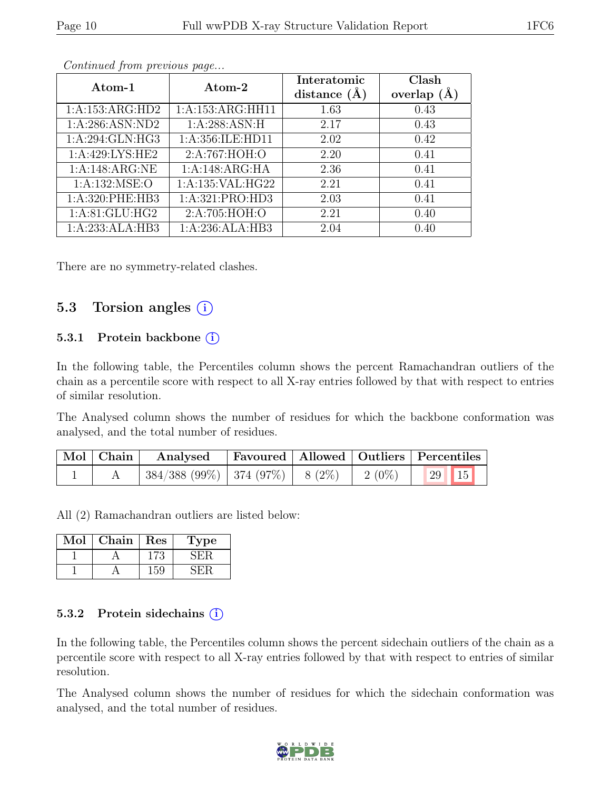| Atom-1             | Atom-2               | Interatomic<br>distance $(\AA)$ | Clash<br>overlap $(\AA)$ |
|--------------------|----------------------|---------------------------------|--------------------------|
| 1:A:153:ARG:HD2    | 1:A:153:ARG:HH11     | 1.63                            | 0.43                     |
| 1: A:286: ASN:ND2  | 1: A:288: ASN:H      | 2.17                            | 0.43                     |
| 1: A:294: GLN: HG3 | 1: A: 356: ILE: HD11 | 2.02                            | 0.42                     |
| 1:A:429:LYS:HE2    | 2:A:767:HOH:O        | 2.20                            | 0.41                     |
| 1:A:148:ARG:NE     | 1:A:148:ARG:HA       | 2.36                            | 0.41                     |
| 1: A: 132: MSE: O  | 1:A:135:VAL:HG22     | 2.21                            | 0.41                     |
| 1:A:320:PHE:HB3    | 1:A:321:PRO:HD3      | 2.03                            | 0.41                     |
| 1: A:81: GLU: HG2  | 2: A:705: HOH:O      | 2.21                            | 0.40                     |
| 1:A:233:ALA:HB3    | 1:A:236:ALA:HB3      | 2.04                            | 0.40                     |

Continued from previous page...

There are no symmetry-related clashes.

### 5.3 Torsion angles  $(i)$

#### 5.3.1 Protein backbone  $(i)$

In the following table, the Percentiles column shows the percent Ramachandran outliers of the chain as a percentile score with respect to all X-ray entries followed by that with respect to entries of similar resolution.

The Analysed column shows the number of residues for which the backbone conformation was analysed, and the total number of residues.

| Mol   Chain | Analysed                                                     |  | Favoured   Allowed   Outliers   Percentiles |
|-------------|--------------------------------------------------------------|--|---------------------------------------------|
|             | $\mid$ 384/388 (99%)   374 (97%)   8 (2%)   2 (0%)   29   15 |  |                                             |

All (2) Ramachandran outliers are listed below:

| Mol | ${\rm Chain}$ | $\operatorname{Res}% \left( \mathcal{N}\right) \equiv\operatorname{Res}(\mathcal{N}_{0},\mathcal{N}_{0})$ | ype |
|-----|---------------|-----------------------------------------------------------------------------------------------------------|-----|
|     |               |                                                                                                           |     |
|     |               |                                                                                                           |     |

#### 5.3.2 Protein sidechains  $(i)$

In the following table, the Percentiles column shows the percent sidechain outliers of the chain as a percentile score with respect to all X-ray entries followed by that with respect to entries of similar resolution.

The Analysed column shows the number of residues for which the sidechain conformation was analysed, and the total number of residues.

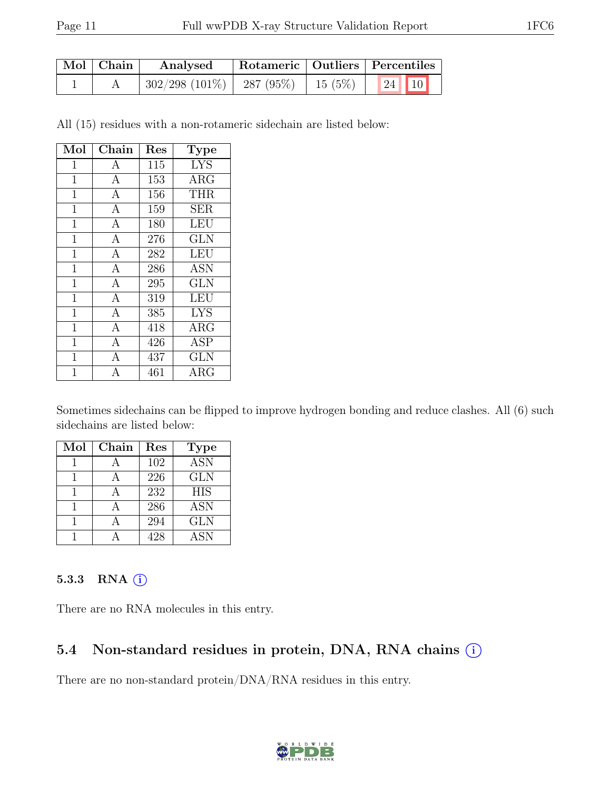| $\mid$ Mol $\mid$ Chain | Analysed                                  | Rotameric   Outliers   Percentiles |                |
|-------------------------|-------------------------------------------|------------------------------------|----------------|
|                         | $302/298$ (101\%)   287 (95\%)   15 (5\%) |                                    | $\mid$ 24   10 |

All (15) residues with a non-rotameric sidechain are listed below:

| Mol          | Chain          | Res | <b>Type</b> |
|--------------|----------------|-----|-------------|
| 1            | А              | 115 | <b>LYS</b>  |
| $\mathbf{1}$ | $\mathbf{A}$   | 153 | $\rm{ARG}$  |
| 1            | A              | 156 | <b>THR</b>  |
| $\mathbf{1}$ | $\mathbf{A}$   | 159 | <b>SER</b>  |
| $\mathbf{1}$ | $\mathbf{A}$   | 180 | <b>LEU</b>  |
| 1            | $\mathbf{A}$   | 276 | <b>GLN</b>  |
| $\mathbf{1}$ | $\mathbf{A}$   | 282 | <b>LEU</b>  |
| $\mathbf{1}$ | $\overline{A}$ | 286 | <b>ASN</b>  |
| $\mathbf 1$  | $\mathbf{A}$   | 295 | <b>GLN</b>  |
| $\mathbf{1}$ | $\overline{A}$ | 319 | LEU         |
| $\mathbf{1}$ | $\mathbf{A}$   | 385 | <b>LYS</b>  |
| 1            | $\overline{A}$ | 418 | $\rm{ARG}$  |
| $\mathbf{1}$ | $\mathbf{A}$   | 426 | <b>ASP</b>  |
| $\mathbf 1$  | $\mathbf{A}$   | 437 | <b>GLN</b>  |
| 1            | $\overline{A}$ | 461 | ARG         |

Sometimes sidechains can be flipped to improve hydrogen bonding and reduce clashes. All (6) such sidechains are listed below:

| Mol | Chain | Res | <b>Type</b> |
|-----|-------|-----|-------------|
|     |       | 102 | <b>ASN</b>  |
|     |       | 226 | <b>GLN</b>  |
|     |       | 232 | <b>HIS</b>  |
|     |       | 286 | <b>ASN</b>  |
|     |       | 294 | <b>GLN</b>  |
|     |       | 428 | <b>ASN</b>  |

#### 5.3.3 RNA  $(i)$

There are no RNA molecules in this entry.

#### 5.4 Non-standard residues in protein, DNA, RNA chains (i)

There are no non-standard protein/DNA/RNA residues in this entry.

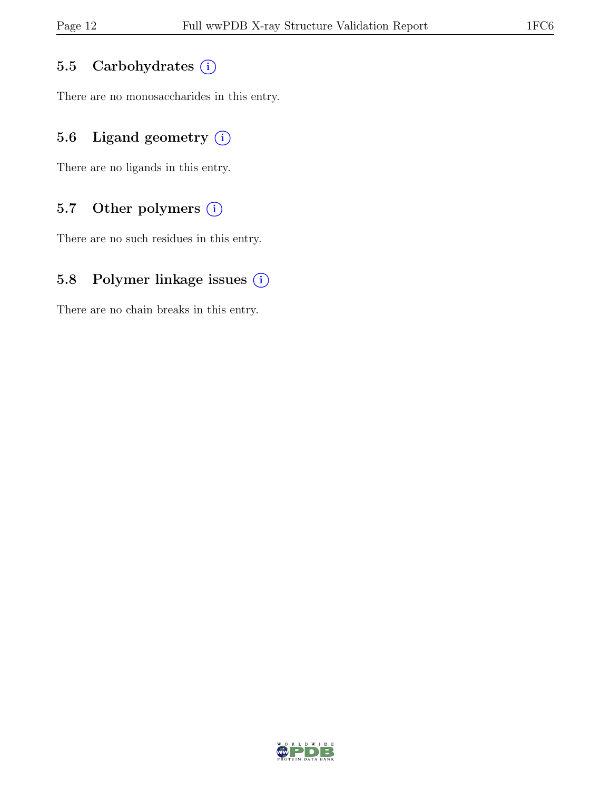#### 5.5 Carbohydrates (i)

There are no monosaccharides in this entry.

#### 5.6 Ligand geometry  $(i)$

There are no ligands in this entry.

#### 5.7 Other polymers (i)

There are no such residues in this entry.

#### 5.8 Polymer linkage issues (i)

There are no chain breaks in this entry.